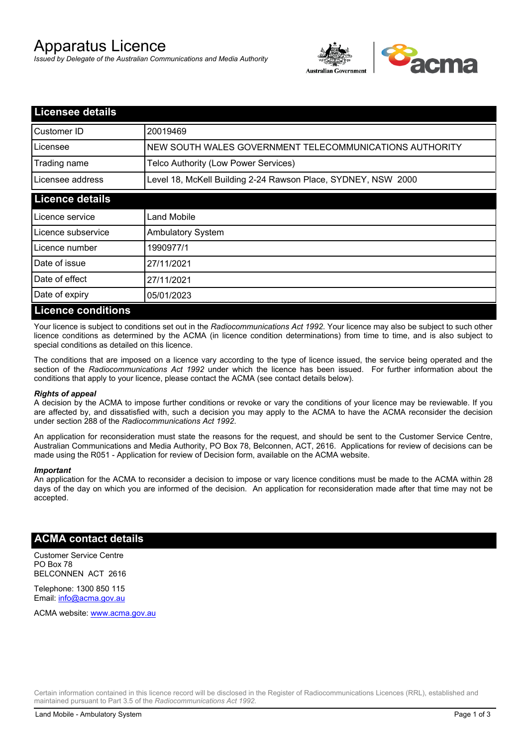# Apparatus Licence

*Issued by Delegate of the Australian Communications and Media Authority*



| <b>Licensee details</b>   |                                                               |  |
|---------------------------|---------------------------------------------------------------|--|
| Customer ID               | 20019469                                                      |  |
| Licensee                  | NEW SOUTH WALES GOVERNMENT TELECOMMUNICATIONS AUTHORITY       |  |
| Trading name              | Telco Authority (Low Power Services)                          |  |
| Licensee address          | Level 18, McKell Building 2-24 Rawson Place, SYDNEY, NSW 2000 |  |
| <b>Licence details</b>    |                                                               |  |
| l Licence service         | Land Mobile                                                   |  |
| Licence subservice        | <b>Ambulatory System</b>                                      |  |
| Licence number            | 1990977/1                                                     |  |
| Date of issue             | 27/11/2021                                                    |  |
| Date of effect            | 27/11/2021                                                    |  |
| Date of expiry            | 05/01/2023                                                    |  |
| <b>Licence conditions</b> |                                                               |  |

Your licence is subject to conditions set out in the *Radiocommunications Act 1992*. Your licence may also be subject to such other licence conditions as determined by the ACMA (in licence condition determinations) from time to time, and is also subject to special conditions as detailed on this licence.

The conditions that are imposed on a licence vary according to the type of licence issued, the service being operated and the section of the *Radiocommunications Act 1992* under which the licence has been issued. For further information about the conditions that apply to your licence, please contact the ACMA (see contact details below).

### *Rights of appeal*

A decision by the ACMA to impose further conditions or revoke or vary the conditions of your licence may be reviewable. If you are affected by, and dissatisfied with, such a decision you may apply to the ACMA to have the ACMA reconsider the decision under section 288 of the *Radiocommunications Act 1992*.

An application for reconsideration must state the reasons for the request, and should be sent to the Customer Service Centre, Australian Communications and Media Authority, PO Box 78, Belconnen, ACT, 2616. Applications for review of decisions can be made using the R051 - Application for review of Decision form, available on the ACMA website.

#### *Important*

An application for the ACMA to reconsider a decision to impose or vary licence conditions must be made to the ACMA within 28 days of the day on which you are informed of the decision. An application for reconsideration made after that time may not be accepted.

### **ACMA contact details**

Customer Service Centre PO Box 78 BELCONNEN ACT 2616

Telephone: 1300 850 115 Email: info@acma.gov.au

ACMA website: www.acma.gov.au

Certain information contained in this licence record will be disclosed in the Register of Radiocommunications Licences (RRL), established and maintained pursuant to Part 3.5 of the *Radiocommunications Act 1992.*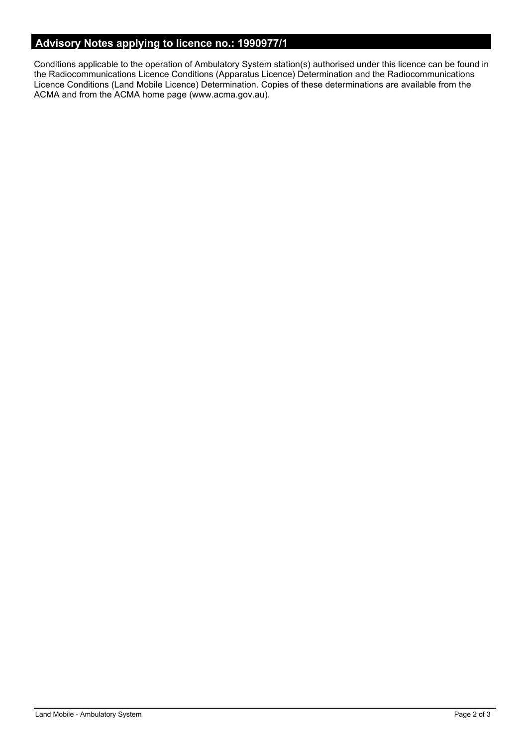# **Advisory Notes applying to licence no.: 1990977/1**

Conditions applicable to the operation of Ambulatory System station(s) authorised under this licence can be found in the Radiocommunications Licence Conditions (Apparatus Licence) Determination and the Radiocommunications Licence Conditions (Land Mobile Licence) Determination. Copies of these determinations are available from the ACMA and from the ACMA home page (www.acma.gov.au).